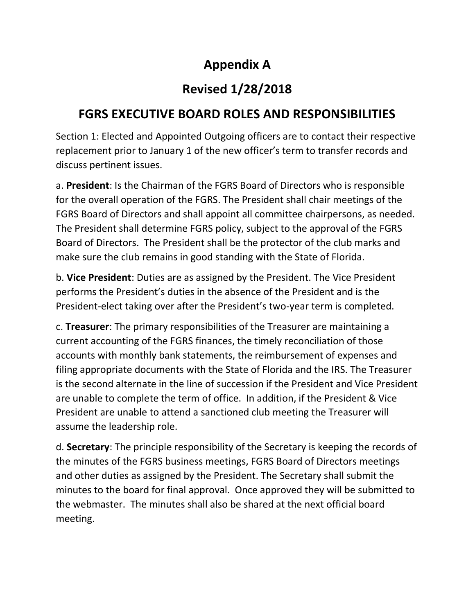## Appendix A

## Revised 1/28/2018

## FGRS EXECUTIVE BOARD ROLES AND RESPONSIBILITIES

Section 1: Elected and Appointed Outgoing officers are to contact their respective replacement prior to January 1 of the new officer's term to transfer records and discuss pertinent issues.

a. President: Is the Chairman of the FGRS Board of Directors who is responsible for the overall operation of the FGRS. The President shall chair meetings of the FGRS Board of Directors and shall appoint all committee chairpersons, as needed. The President shall determine FGRS policy, subject to the approval of the FGRS Board of Directors. The President shall be the protector of the club marks and make sure the club remains in good standing with the State of Florida.

b. Vice President: Duties are as assigned by the President. The Vice President performs the President's duties in the absence of the President and is the President-elect taking over after the President's two-year term is completed.

c. Treasurer: The primary responsibilities of the Treasurer are maintaining a current accounting of the FGRS finances, the timely reconciliation of those accounts with monthly bank statements, the reimbursement of expenses and filing appropriate documents with the State of Florida and the IRS. The Treasurer is the second alternate in the line of succession if the President and Vice President are unable to complete the term of office. In addition, if the President & Vice President are unable to attend a sanctioned club meeting the Treasurer will assume the leadership role.

d. Secretary: The principle responsibility of the Secretary is keeping the records of the minutes of the FGRS business meetings, FGRS Board of Directors meetings and other duties as assigned by the President. The Secretary shall submit the minutes to the board for final approval. Once approved they will be submitted to the webmaster. The minutes shall also be shared at the next official board meeting.